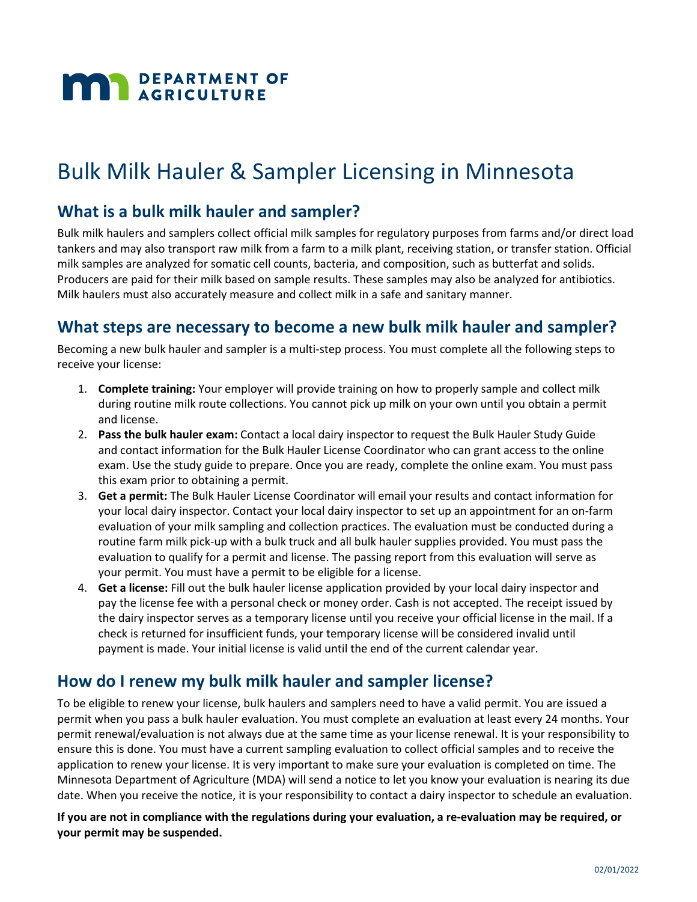# **MAN** DEPARTMENT OF

# Bulk Milk Hauler & Sampler Licensing in Minnesota

#### **What is a bulk milk hauler and sampler?**

Bulk milk haulers and samplers collect official milk samples for regulatory purposes from farms and/or direct load tankers and may also transport raw milk from a farm to a milk plant, receiving station, or transfer station. Official milk samples are analyzed for somatic cell counts, bacteria, and composition, such as butterfat and solids. Producers are paid for their milk based on sample results. These samples may also be analyzed for antibiotics. Milk haulers must also accurately measure and collect milk in a safe and sanitary manner.

#### **What steps are necessary to become a new bulk milk hauler and sampler?**

Becoming a new bulk hauler and sampler is a multi-step process. You must complete all the following steps to receive your license:

- 1. **Complete training:** Your employer will provide training on how to properly sample and collect milk during routine milk route collections. You cannot pick up milk on your own until you obtain a permit and license.
- 2. **Pass the bulk hauler exam:** Contact a local dairy inspector to request the Bulk Hauler Study Guide and contact information for the Bulk Hauler License Coordinator who can grant access to the online exam. Use the study guide to prepare. Once you are ready, complete the online exam. You must pass this exam prior to obtaining a permit.
- 3. **Get a permit:** The Bulk Hauler License Coordinator will email your results and contact information for your local dairy inspector. Contact your local dairy inspector to set up an appointment for an on-farm evaluation of your milk sampling and collection practices. The evaluation must be conducted during a routine farm milk pick-up with a bulk truck and all bulk hauler supplies provided. You must pass the evaluation to qualify for a permit and license. The passing report from this evaluation will serve as your permit. You must have a permit to be eligible for a license.
- 4. **Get a license:** Fill out the bulk hauler license application provided by your local dairy inspector and pay the license fee with a personal check or money order. Cash is not accepted. The receipt issued by the dairy inspector serves as a temporary license until you receive your official license in the mail. If a check is returned for insufficient funds, your temporary license will be considered invalid until payment is made. Your initial license is valid until the end of the current calendar year.

#### **How do I renew my bulk milk hauler and sampler license?**

To be eligible to renew your license, bulk haulers and samplers need to have a valid permit. You are issued a permit when you pass a bulk hauler evaluation. You must complete an evaluation at least every 24 months. Your permit renewal/evaluation is not always due at the same time as your license renewal. It is your responsibility to ensure this is done. You must have a current sampling evaluation to collect official samples and to receive the application to renew your license. It is very important to make sure your evaluation is completed on time. The Minnesota Department of Agriculture (MDA) will send a notice to let you know your evaluation is nearing its due date. When you receive the notice, it is your responsibility to contact a dairy inspector to schedule an evaluation.

**If you are not in compliance with the regulations during your evaluation, a re-evaluation may be required, or your permit may be suspended.**